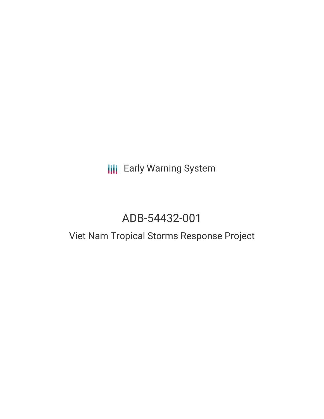# **III** Early Warning System

# ADB-54432-001

## Viet Nam Tropical Storms Response Project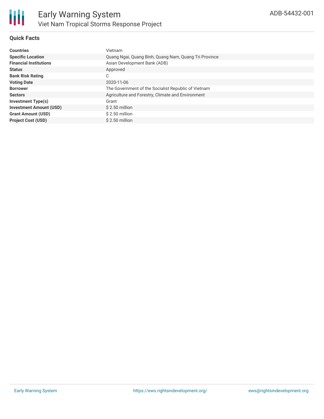

#### **Quick Facts**

| <b>Countries</b>               | Vietnam                                               |
|--------------------------------|-------------------------------------------------------|
| <b>Specific Location</b>       | Quang Ngai, Quang Binh, Quang Nam, Quang Tri Province |
| <b>Financial Institutions</b>  | Asian Development Bank (ADB)                          |
| <b>Status</b>                  | Approved                                              |
| <b>Bank Risk Rating</b>        | C                                                     |
| <b>Voting Date</b>             | 2020-11-06                                            |
| <b>Borrower</b>                | The Government of the Socialist Republic of Vietnam   |
| <b>Sectors</b>                 | Agriculture and Forestry, Climate and Environment     |
| <b>Investment Type(s)</b>      | Grant                                                 |
| <b>Investment Amount (USD)</b> | $$2.50$ million                                       |
| <b>Grant Amount (USD)</b>      | $$2.50$ million                                       |
| <b>Project Cost (USD)</b>      | $$2.50$ million                                       |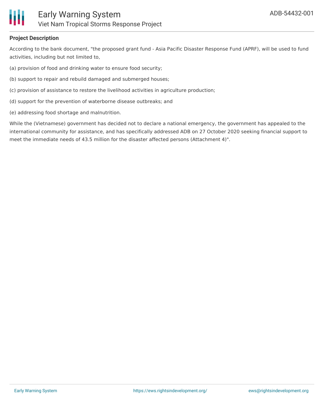

#### **Project Description**

According to the bank document, "the proposed grant fund - Asia Pacific Disaster Response Fund (APRF), will be used to fund activities, including but not limited to,

- (a) provision of food and drinking water to ensure food security;
- (b) support to repair and rebuild damaged and submerged houses;
- (c) provision of assistance to restore the livelihood activities in agriculture production;
- (d) support for the prevention of waterborne disease outbreaks; and
- (e) addressing food shortage and malnutrition.

While the (Vietnamese) government has decided not to declare a national emergency, the government has appealed to the international community for assistance, and has specifically addressed ADB on 27 October 2020 seeking financial support to meet the immediate needs of 43.5 million for the disaster affected persons (Attachment 4)".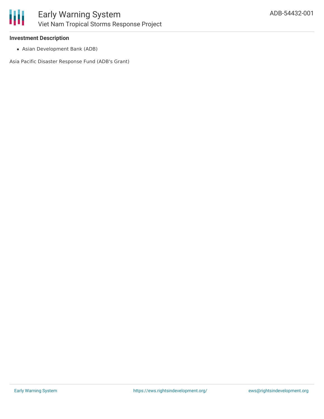

#### **Investment Description**

Asian Development Bank (ADB)

Asia Pacific Disaster Response Fund (ADB's Grant)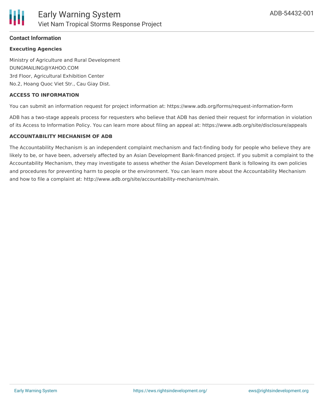

#### **Contact Information**

#### **Executing Agencies**

Ministry of Agriculture and Rural Development DUNGMAILING@YAHOO.COM 3rd Floor, Agricultural Exhibition Center No.2, Hoang Quoc Viet Str., Cau Giay Dist.

#### **ACCESS TO INFORMATION**

You can submit an information request for project information at: https://www.adb.org/forms/request-information-form

ADB has a two-stage appeals process for requesters who believe that ADB has denied their request for information in violation of its Access to Information Policy. You can learn more about filing an appeal at: https://www.adb.org/site/disclosure/appeals

#### **ACCOUNTABILITY MECHANISM OF ADB**

The Accountability Mechanism is an independent complaint mechanism and fact-finding body for people who believe they are likely to be, or have been, adversely affected by an Asian Development Bank-financed project. If you submit a complaint to the Accountability Mechanism, they may investigate to assess whether the Asian Development Bank is following its own policies and procedures for preventing harm to people or the environment. You can learn more about the Accountability Mechanism and how to file a complaint at: http://www.adb.org/site/accountability-mechanism/main.